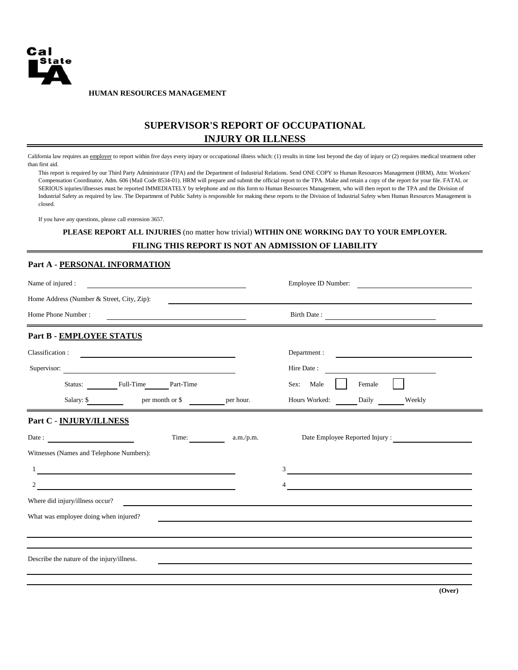

**HUMAN RESOURCES MANAGEMENT**

# **SUPERVISOR'S REPORT OF OCCUPATIONAL INJURY OR ILLNESS**

California law requires an employer to report within five days every injury or occupational illness which: (1) results in time lost beyond the day of injury or (2) requires medical treatment other than first aid.

This report is required by our Third Party Administrator (TPA) and the Department of Industrial Relations. Send ONE COPY to Human Resources Management (HRM), Attn: Workers' Compensation Coordinator, Adm. 606 (Mail Code 8534-01). HRM will prepare and submit the official report to the TPA. Make and retain a copy of the report for your file. FATAL or SERIOUS injuries/illnesses must be reported IMMEDIATELY by telephone and on this form to Human Resources Management, who will then report to the TPA and the Division of Industrial Safety as required by law. The Department of Public Safety is responsible for making these reports to the Division of Industrial Safety when Human Resources Management is closed.

If you have any questions, please call extension 3657.

#### **PLEASE REPORT ALL INJURIES** (no matter how trivial) **WITHIN ONE WORKING DAY TO YOUR EMPLOYER.**

## **FILING THIS REPORT IS NOT AN ADMISSION OF LIABILITY**

#### **Part A - PERSONAL INFORMATION**

| Name of injured :                     |                                            |                                                  |                 | Employee ID Number:<br><u> 1980 - Jan Samuel Barbara, martin d</u> |                        |                                 |  |  |  |
|---------------------------------------|--------------------------------------------|--------------------------------------------------|-----------------|--------------------------------------------------------------------|------------------------|---------------------------------|--|--|--|
|                                       | Home Address (Number & Street, City, Zip): |                                                  |                 |                                                                    |                        |                                 |  |  |  |
| Home Phone Number:                    |                                            |                                                  |                 | Birth Date:                                                        |                        |                                 |  |  |  |
|                                       | Part B - EMPLOYEE STATUS                   |                                                  |                 |                                                                    |                        |                                 |  |  |  |
| Classification:                       |                                            | <u> 1980 - Andrea Station Barbara (h. 1980).</u> |                 | Department :                                                       |                        |                                 |  |  |  |
|                                       |                                            | Supervisor:                                      |                 | Hire Date:                                                         |                        |                                 |  |  |  |
|                                       |                                            | Status: Full-Time                                | Part-Time       |                                                                    | Female<br>Male<br>Sex: |                                 |  |  |  |
|                                       | Salary: \$                                 |                                                  | per month or \$ | per hour.                                                          | Hours Worked:<br>Daily | Weekly                          |  |  |  |
|                                       | Part C - INJURY/ILLNESS                    |                                                  |                 |                                                                    |                        |                                 |  |  |  |
|                                       | Date: $\qquad \qquad$                      |                                                  | Time:           | a.m./p.m.                                                          |                        | Date Employee Reported Injury : |  |  |  |
|                                       | Witnesses (Names and Telephone Numbers):   |                                                  |                 |                                                                    |                        |                                 |  |  |  |
|                                       |                                            |                                                  |                 |                                                                    | 3                      |                                 |  |  |  |
|                                       |                                            |                                                  |                 |                                                                    | 4                      |                                 |  |  |  |
|                                       | Where did injury/illness occur?            |                                                  |                 |                                                                    |                        |                                 |  |  |  |
| What was employee doing when injured? |                                            |                                                  |                 |                                                                    |                        |                                 |  |  |  |
|                                       |                                            |                                                  |                 |                                                                    |                        |                                 |  |  |  |
|                                       | Describe the nature of the injury/illness. |                                                  |                 |                                                                    |                        |                                 |  |  |  |
|                                       |                                            |                                                  |                 |                                                                    |                        |                                 |  |  |  |